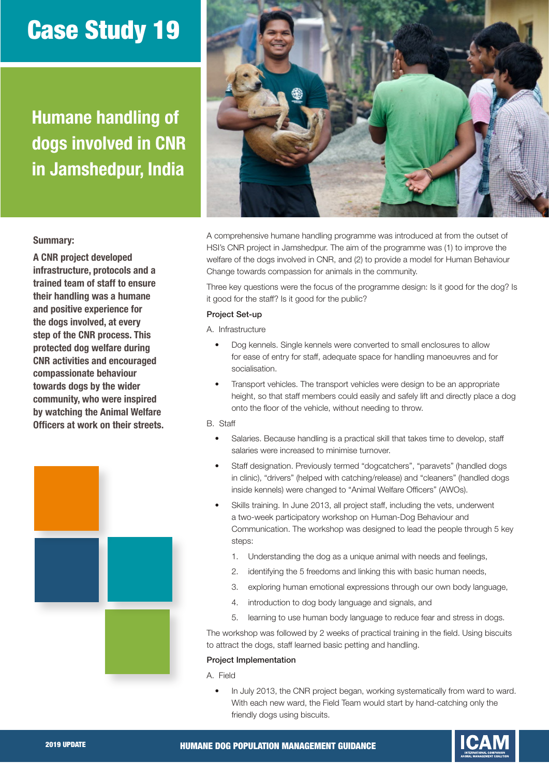# Case Study 19

Humane handling of dogs involved in CNR in Jamshedpur, India



### Summary:

A CNR project developed infrastructure, protocols and a trained team of staff to ensure their handling was a humane and positive experience for the dogs involved, at every step of the CNR process. This protected dog welfare during CNR activities and encouraged compassionate behaviour towards dogs by the wider community, who were inspired by watching the Animal Welfare Officers at work on their streets.



A comprehensive humane handling programme was introduced at from the outset of HSI's CNR project in Jamshedpur. The aim of the programme was (1) to improve the welfare of the dogs involved in CNR, and (2) to provide a model for Human Behaviour Change towards compassion for animals in the community.

Three key questions were the focus of the programme design: Is it good for the dog? Is it good for the staff? Is it good for the public?

### Project Set-up

A. Infrastructure

- Dog kennels. Single kennels were converted to small enclosures to allow for ease of entry for staff, adequate space for handling manoeuvres and for socialisation.
- Transport vehicles. The transport vehicles were design to be an appropriate height, so that staff members could easily and safely lift and directly place a dog onto the floor of the vehicle, without needing to throw.

## B. Staff

- Salaries. Because handling is a practical skill that takes time to develop, staff salaries were increased to minimise turnover.
- Staff designation. Previously termed "dogcatchers", "paravets" (handled dogs in clinic), "drivers" (helped with catching/release) and "cleaners" (handled dogs inside kennels) were changed to "Animal Welfare Officers" (AWOs).
- Skills training. In June 2013, all project staff, including the vets, underwent a two-week participatory workshop on Human-Dog Behaviour and Communication. The workshop was designed to lead the people through 5 key steps:
	- 1. Understanding the dog as a unique animal with needs and feelings,
	- 2. identifying the 5 freedoms and linking this with basic human needs,
	- 3. exploring human emotional expressions through our own body language,
	- 4. introduction to dog body language and signals, and
	- 5. learning to use human body language to reduce fear and stress in dogs.

The workshop was followed by 2 weeks of practical training in the field. Using biscuits to attract the dogs, staff learned basic petting and handling.

### Project Implementation

A. Field

• In July 2013, the CNR project began, working systematically from ward to ward. With each new ward, the Field Team would start by hand-catching only the friendly dogs using biscuits.